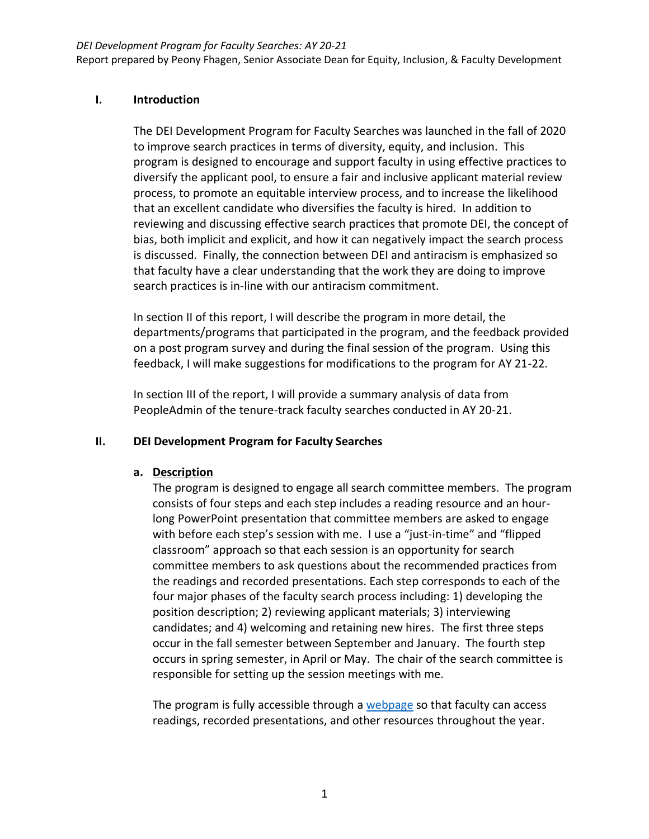## **I. Introduction**

The DEI Development Program for Faculty Searches was launched in the fall of 2020 to improve search practices in terms of diversity, equity, and inclusion. This program is designed to encourage and support faculty in using effective practices to diversify the applicant pool, to ensure a fair and inclusive applicant material review process, to promote an equitable interview process, and to increase the likelihood that an excellent candidate who diversifies the faculty is hired. In addition to reviewing and discussing effective search practices that promote DEI, the concept of bias, both implicit and explicit, and how it can negatively impact the search process is discussed. Finally, the connection between DEI and antiracism is emphasized so that faculty have a clear understanding that the work they are doing to improve search practices is in-line with our antiracism commitment.

In section II of this report, I will describe the program in more detail, the departments/programs that participated in the program, and the feedback provided on a post program survey and during the final session of the program. Using this feedback, I will make suggestions for modifications to the program for AY 21-22.

In section III of the report, I will provide a summary analysis of data from PeopleAdmin of the tenure-track faculty searches conducted in AY 20-21.

## **II. DEI Development Program for Faculty Searches**

## **a. Description**

The program is designed to engage all search committee members. The program consists of four steps and each step includes a reading resource and an hourlong PowerPoint presentation that committee members are asked to engage with before each step's session with me. I use a "just-in-time" and "flipped classroom" approach so that each session is an opportunity for search committee members to ask questions about the recommended practices from the readings and recorded presentations. Each step corresponds to each of the four major phases of the faculty search process including: 1) developing the position description; 2) reviewing applicant materials; 3) interviewing candidates; and 4) welcoming and retaining new hires. The first three steps occur in the fall semester between September and January. The fourth step occurs in spring semester, in April or May. The chair of the search committee is responsible for setting up the session meetings with me.

The program is fully accessible through a [webpage](https://www.coloradocollege.edu/offices/dean/faculty/dei-searches/) so that faculty can access readings, recorded presentations, and other resources throughout the year.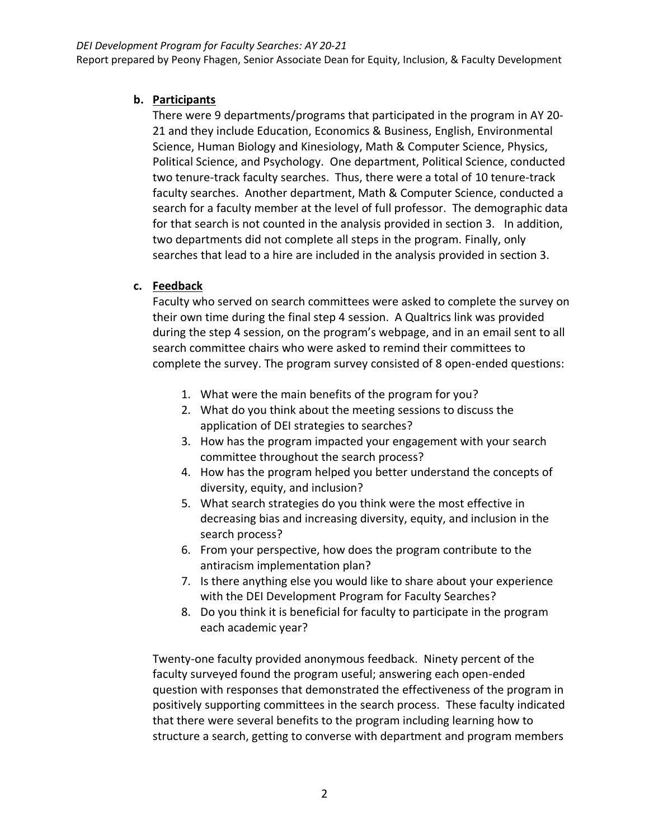# **b. Participants**

There were 9 departments/programs that participated in the program in AY 20- 21 and they include Education, Economics & Business, English, Environmental Science, Human Biology and Kinesiology, Math & Computer Science, Physics, Political Science, and Psychology. One department, Political Science, conducted two tenure-track faculty searches. Thus, there were a total of 10 tenure-track faculty searches. Another department, Math & Computer Science, conducted a search for a faculty member at the level of full professor. The demographic data for that search is not counted in the analysis provided in section 3. In addition, two departments did not complete all steps in the program. Finally, only searches that lead to a hire are included in the analysis provided in section 3.

# **c. Feedback**

Faculty who served on search committees were asked to complete the survey on their own time during the final step 4 session. A Qualtrics link was provided during the step 4 session, on the program's webpage, and in an email sent to all search committee chairs who were asked to remind their committees to complete the survey. The program survey consisted of 8 open-ended questions:

- 1. What were the main benefits of the program for you?
- 2. What do you think about the meeting sessions to discuss the application of DEI strategies to searches?
- 3. How has the program impacted your engagement with your search committee throughout the search process?
- 4. How has the program helped you better understand the concepts of diversity, equity, and inclusion?
- 5. What search strategies do you think were the most effective in decreasing bias and increasing diversity, equity, and inclusion in the search process?
- 6. From your perspective, how does the program contribute to the antiracism implementation plan?
- 7. Is there anything else you would like to share about your experience with the DEI Development Program for Faculty Searches?
- 8. Do you think it is beneficial for faculty to participate in the program each academic year?

Twenty-one faculty provided anonymous feedback. Ninety percent of the faculty surveyed found the program useful; answering each open-ended question with responses that demonstrated the effectiveness of the program in positively supporting committees in the search process. These faculty indicated that there were several benefits to the program including learning how to structure a search, getting to converse with department and program members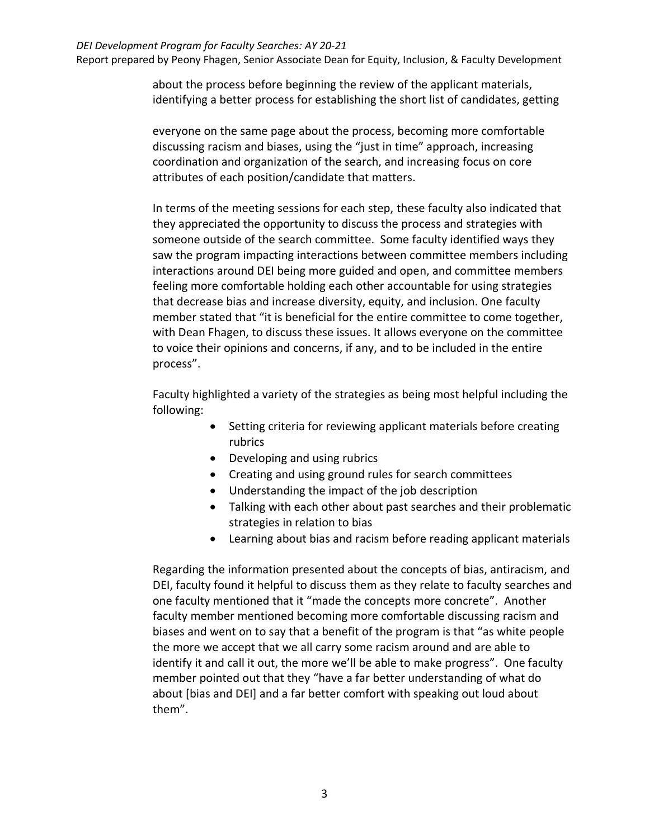#### *DEI Development Program for Faculty Searches: AY 20-21*

Report prepared by Peony Fhagen, Senior Associate Dean for Equity, Inclusion, & Faculty Development

about the process before beginning the review of the applicant materials, identifying a better process for establishing the short list of candidates, getting

everyone on the same page about the process, becoming more comfortable discussing racism and biases, using the "just in time" approach, increasing coordination and organization of the search, and increasing focus on core attributes of each position/candidate that matters.

In terms of the meeting sessions for each step, these faculty also indicated that they appreciated the opportunity to discuss the process and strategies with someone outside of the search committee. Some faculty identified ways they saw the program impacting interactions between committee members including interactions around DEI being more guided and open, and committee members feeling more comfortable holding each other accountable for using strategies that decrease bias and increase diversity, equity, and inclusion. One faculty member stated that "it is beneficial for the entire committee to come together, with Dean Fhagen, to discuss these issues. It allows everyone on the committee to voice their opinions and concerns, if any, and to be included in the entire process".

Faculty highlighted a variety of the strategies as being most helpful including the following:

- Setting criteria for reviewing applicant materials before creating rubrics
- Developing and using rubrics
- Creating and using ground rules for search committees
- Understanding the impact of the job description
- Talking with each other about past searches and their problematic strategies in relation to bias
- Learning about bias and racism before reading applicant materials

Regarding the information presented about the concepts of bias, antiracism, and DEI, faculty found it helpful to discuss them as they relate to faculty searches and one faculty mentioned that it "made the concepts more concrete". Another faculty member mentioned becoming more comfortable discussing racism and biases and went on to say that a benefit of the program is that "as white people the more we accept that we all carry some racism around and are able to identify it and call it out, the more we'll be able to make progress". One faculty member pointed out that they "have a far better understanding of what do about [bias and DEI] and a far better comfort with speaking out loud about them".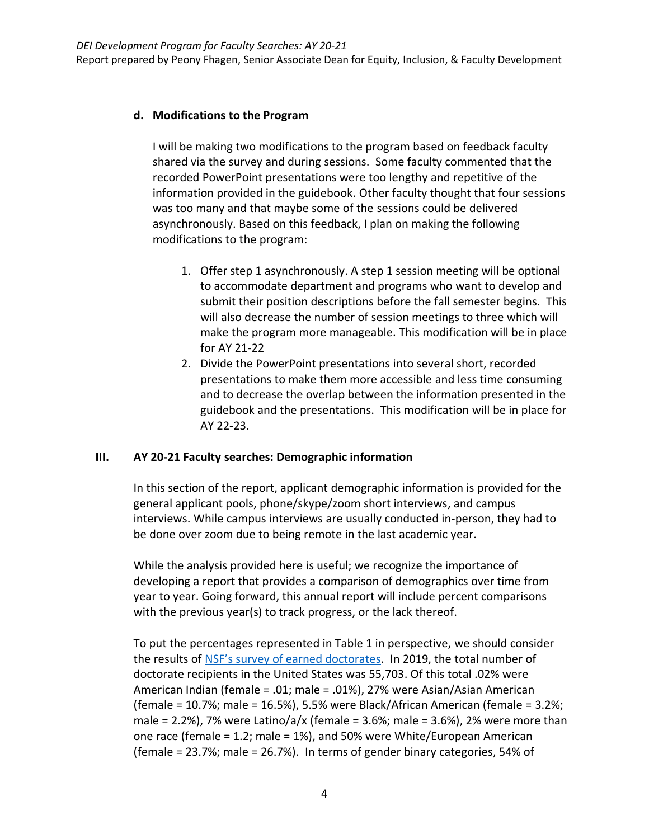## **d. Modifications to the Program**

I will be making two modifications to the program based on feedback faculty shared via the survey and during sessions. Some faculty commented that the recorded PowerPoint presentations were too lengthy and repetitive of the information provided in the guidebook. Other faculty thought that four sessions was too many and that maybe some of the sessions could be delivered asynchronously. Based on this feedback, I plan on making the following modifications to the program:

- 1. Offer step 1 asynchronously. A step 1 session meeting will be optional to accommodate department and programs who want to develop and submit their position descriptions before the fall semester begins. This will also decrease the number of session meetings to three which will make the program more manageable. This modification will be in place for AY 21-22
- 2. Divide the PowerPoint presentations into several short, recorded presentations to make them more accessible and less time consuming and to decrease the overlap between the information presented in the guidebook and the presentations. This modification will be in place for AY 22-23.

# **III. AY 20-21 Faculty searches: Demographic information**

In this section of the report, applicant demographic information is provided for the general applicant pools, phone/skype/zoom short interviews, and campus interviews. While campus interviews are usually conducted in-person, they had to be done over zoom due to being remote in the last academic year.

While the analysis provided here is useful; we recognize the importance of developing a report that provides a comparison of demographics over time from year to year. Going forward, this annual report will include percent comparisons with the previous year(s) to track progress, or the lack thereof.

To put the percentages represented in Table 1 in perspective, we should consider the results of [NSF's survey of earned doctorates](https://ncses.nsf.gov/pubs/nsf21308/data-tables). In 2019, the total number of doctorate recipients in the United States was 55,703. Of this total .02% were American Indian (female = .01; male = .01%), 27% were Asian/Asian American (female = 10.7%; male = 16.5%), 5.5% were Black/African American (female = 3.2%; male = 2.2%), 7% were Latino/a/x (female = 3.6%; male = 3.6%), 2% were more than one race (female = 1.2; male = 1%), and 50% were White/European American (female = 23.7%; male = 26.7%). In terms of gender binary categories, 54% of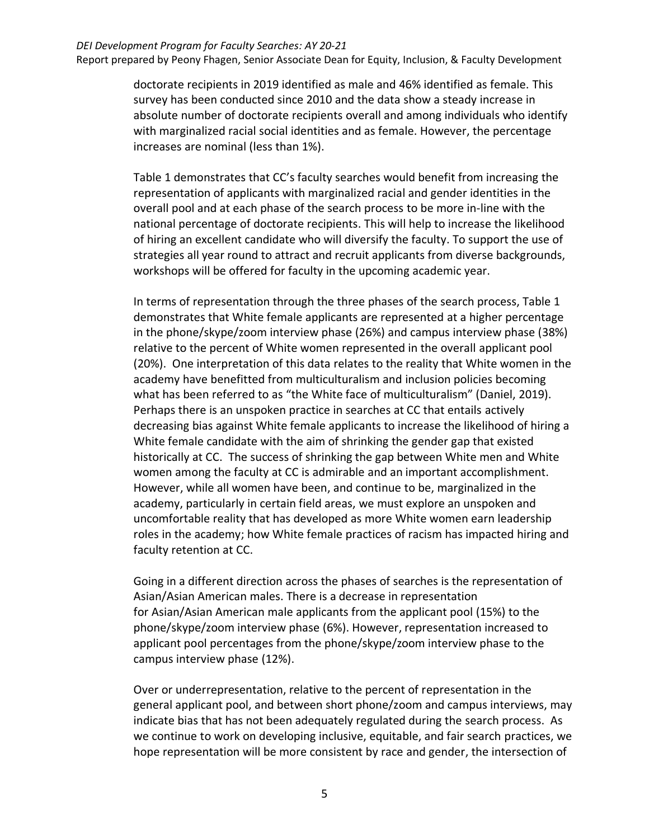#### *DEI Development Program for Faculty Searches: AY 20-21*

Report prepared by Peony Fhagen, Senior Associate Dean for Equity, Inclusion, & Faculty Development

doctorate recipients in 2019 identified as male and 46% identified as female. This survey has been conducted since 2010 and the data show a steady increase in absolute number of doctorate recipients overall and among individuals who identify with marginalized racial social identities and as female. However, the percentage increases are nominal (less than 1%).

Table 1 demonstrates that CC's faculty searches would benefit from increasing the representation of applicants with marginalized racial and gender identities in the overall pool and at each phase of the search process to be more in-line with the national percentage of doctorate recipients. This will help to increase the likelihood of hiring an excellent candidate who will diversify the faculty. To support the use of strategies all year round to attract and recruit applicants from diverse backgrounds, workshops will be offered for faculty in the upcoming academic year.

In terms of representation through the three phases of the search process, Table 1 demonstrates that White female applicants are represented at a higher percentage in the phone/skype/zoom interview phase (26%) and campus interview phase (38%) relative to the percent of White women represented in the overall applicant pool (20%). One interpretation of this data relates to the reality that White women in the academy have benefitted from multiculturalism and inclusion policies becoming what has been referred to as "the White face of multiculturalism" (Daniel, 2019). Perhaps there is an unspoken practice in searches at CC that entails actively decreasing bias against White female applicants to increase the likelihood of hiring a White female candidate with the aim of shrinking the gender gap that existed historically at CC. The success of shrinking the gap between White men and White women among the faculty at CC is admirable and an important accomplishment. However, while all women have been, and continue to be, marginalized in the academy, particularly in certain field areas, we must explore an unspoken and uncomfortable reality that has developed as more White women earn leadership roles in the academy; how White female practices of racism has impacted hiring and faculty retention at CC.

Going in a different direction across the phases of searches is the representation of Asian/Asian American males. There is a decrease in representation for Asian/Asian American male applicants from the applicant pool (15%) to the phone/skype/zoom interview phase (6%). However, representation increased to applicant pool percentages from the phone/skype/zoom interview phase to the campus interview phase (12%).

Over or underrepresentation, relative to the percent of representation in the general applicant pool, and between short phone/zoom and campus interviews, may indicate bias that has not been adequately regulated during the search process. As we continue to work on developing inclusive, equitable, and fair search practices, we hope representation will be more consistent by race and gender, the intersection of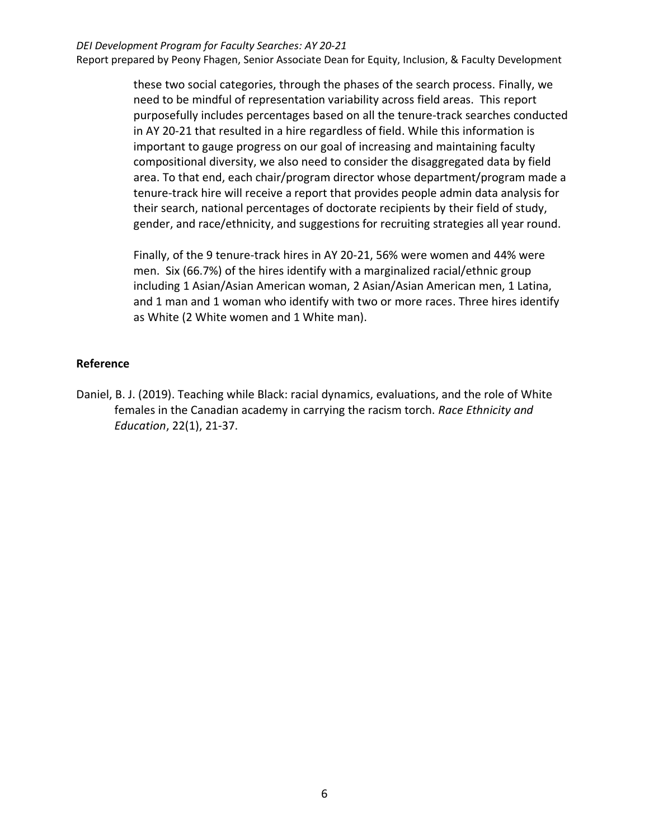#### *DEI Development Program for Faculty Searches: AY 20-21*

Report prepared by Peony Fhagen, Senior Associate Dean for Equity, Inclusion, & Faculty Development

these two social categories, through the phases of the search process. Finally, we need to be mindful of representation variability across field areas. This report purposefully includes percentages based on all the tenure-track searches conducted in AY 20-21 that resulted in a hire regardless of field. While this information is important to gauge progress on our goal of increasing and maintaining faculty compositional diversity, we also need to consider the disaggregated data by field area. To that end, each chair/program director whose department/program made a tenure-track hire will receive a report that provides people admin data analysis for their search, national percentages of doctorate recipients by their field of study, gender, and race/ethnicity, and suggestions for recruiting strategies all year round.

Finally, of the 9 tenure-track hires in AY 20-21, 56% were women and 44% were men. Six (66.7%) of the hires identify with a marginalized racial/ethnic group including 1 Asian/Asian American woman, 2 Asian/Asian American men, 1 Latina, and 1 man and 1 woman who identify with two or more races. Three hires identify as White (2 White women and 1 White man).

### **Reference**

Daniel, B. J. (2019). Teaching while Black: racial dynamics, evaluations, and the role of White females in the Canadian academy in carrying the racism torch. *Race Ethnicity and Education*, 22(1), 21-37.